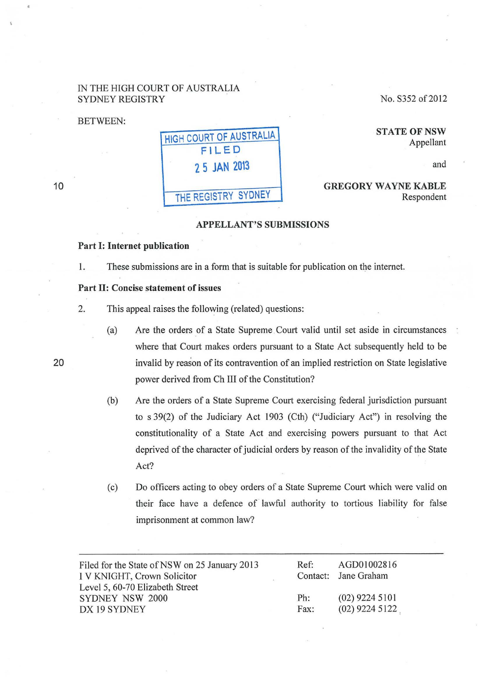#### IN THE HIGH COURT OF AUSTRALIA SYDNEY REGISTRY

BETWEEN:

No. S352 of 2012

HIGH COURT OF AUSTRALIA FILED 2 5 JAN 2013 THE REGISTRY SYDNEY

**STATE OF NSW** Appellant

and

GREGORY WAYNE KABLE Respondent

#### APPELLANT'S SUBMISSIONS

#### Part I: Internet publication

1. These submissions are in a form that is suitable for publication on the internet.

#### Part II: Concise statement of issues

2. This appeal raises the following (related) questions:

- (a) Are the orders of a State Supreme Court valid until set aside in circumstances where that Court makes orders pursuant to a State Act subsequently held to be invalid by reason of its contravention of an implied restriction on State legislative power derived from Ch III of the Constitution?
- (b) Are the orders of a State Supreme Court exercising federal jurisdiction pursuant to s 39(2) of the Judiciary Act 1903 (Cth) ("Judiciary Act") in resolving the constitutionality of a State Act and exercising powers pursuant to that Act deprived of the character of judicial orders by reason of the invalidity of the State Act?
- (c) Do officers acting to obey orders of a State Supreme Court which were valid on their face have a defence of lawful authority to tortious liability for false imprisonment at common law?

| Filed for the State of NSW on 25 January 2013 | Ref: | AGD01002816          |
|-----------------------------------------------|------|----------------------|
| I V KNIGHT, Crown Solicitor                   |      | Contact: Jane Graham |
| Level 5, 60-70 Elizabeth Street               |      |                      |
| <b>SYDNEY NSW 2000</b>                        | Ph:  | $(02)$ 9224 5101     |
| DX 19 SYDNEY                                  | Fax: | $(02)$ 9224 5122     |

20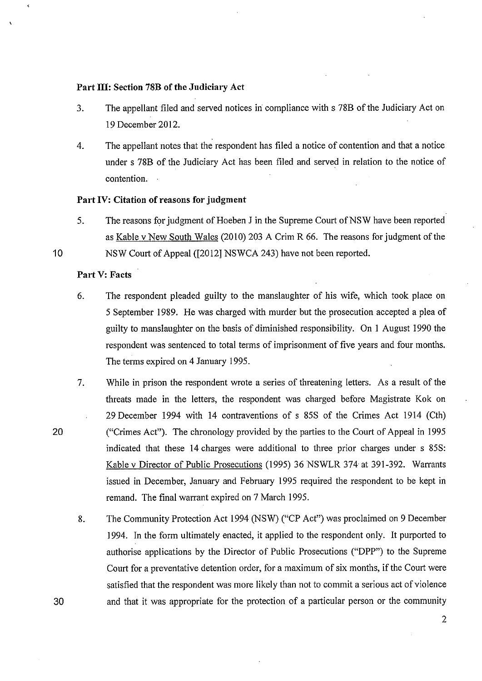#### **Part III: Section 78B of the Judiciary Act**

- 3. The appellant filed and served notices in compliance with s 788 of the Judiciary Act on 19 December 2012.
- 4. The appellant notes that the respondent has filed a notice of contention and that a notice under s 788 of the Judiciary Act has been filed and served in relation to the notice of contention.

#### **Part IV: Citation of reasons for judgment**

5. The reasons for judgment of Hoeben J in the Supreme Court of NSW have been reported as Kable v New South Wales (2010) 203 A Crim R 66. The reasons for judgment of the NSW Court of Appeal ([2012] NSWCA 243) have not been reported.

#### **Part V: Facts**

10

20

- 6. The respondent pleaded guilty to the manslaughter of his wife, which took place on 5 September 1989. He was charged with murder but the prosecution accepted a plea of guilty to manslaughter on the basis of diminished responsibility. On I August 1990 the respondent was sentenced to total terms of imprisonment of five years and four months. The terms expired on 4 January 1995.
- 7. While in prison the respondent wrote a series of threatening letters. As a result of the threats made in the letters, the respondent was charged before Magistrate Kok on 29 December 1994 with 14 contraventions of s 85S of the Crimes Act 1914 (Cth) ("Crimes Act"). The chronology provided by the parties to the Court of Appeal in 1995 indicated that these 14 charges were additional to three prior charges under s 85S: Kable v Director of Public Prosecutions (1995) 36 NSWLR 374 at 391-392. Warrants issued in December, January and February 1995 required the respondent to be kept in remand. The final warrant expired on 7 March 1995.
	- 8. The Community Protection Act 1994 (NSW) ("CP Act") was proclaimed on 9 December 1994. In the form ultimately enacted, it applied to the respondent only. It purported to authorise applications by the Director of Public Prosecutions ("DPP") to the Supreme Court for a preventative detention order, for a maximum of six months, if the Court were satisfied that the respondent was more likely than not to commit a serious act of violence and that it was appropriate for the protection of a particular person or the community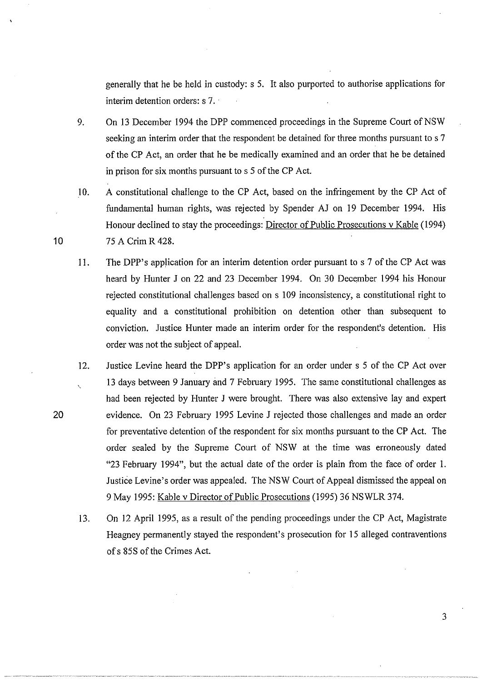generally that he be held in custody: s 5. It also purported to authorise applications for interim detention orders: s 7. ·

- 9. On 13 December 1994 the DPP commenced proceedings in the Supreme Court of NSW seeking an interim order that the respondent be detained for three months pursuant to s 7 of the CP Act, an order that he be medically examined and an order that he be detained in prison for six months pursuant to s 5 of the CP Act.
- 10. A constitutional challenge to the CP Act, based on the infringement by the CP Act of fundamental human rights, was rejected by Spender AJ on 19 December 1994. His Honour declined to stay the proceedings: Director of Public Prosecutions v Kable (1994) 75 A Crim R 428.
- 11. The DPP's application for an interim detention order pursuant to s 7 of the CP Act was heard by Hunter J on 22 and 23 December 1994. On 30 December 1994 his Honour rejected constitutional challenges based on s 109 inconsistency, a constitutional right to equality and a constitutional prohibition on detention other than subsequent to conviction. Justice Hunter made an interim order for the respondent's detention. His order was not the subject of appeal.
- 12. Justice Levine heard the DPP's application for an order under s 5 of the CP Act over 13 days between 9 January and 7 February 1995. The same constitutional challenges as had been rejected by Hunter J were brought. There was also extensive lay and expett evidence. On 23 February 1995 Levine J rejected those challenges and made an order for preventative detention of the respondent for six months pursuant to the CP Act. The order sealed by the Supreme Court of NSW at the time was erroneously dated "23 February 1994", but the actual date of the order is plain from the face of order 1. Justice Levine's order was appealed. The NSW Court of Appeal dismissed the appeal on 9 May 1995: Kable v Director of Public Prosecutions (1995) 36 NSWLR 374.
	- 13. On 12 April 1995, as a result of the pending proceedings under the CP Act, Magistrate Heagney permanently stayed the respondent's prosecution for 15 alleged contraventions of s 85S of the Crimes Act.

10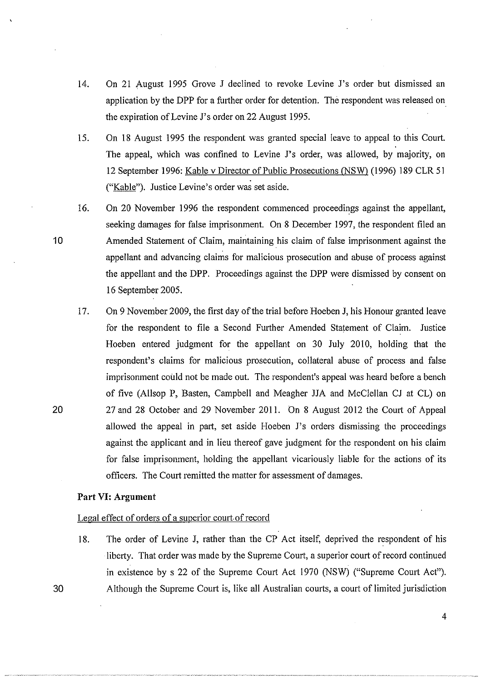- 14. On 21 August 1995 Grove J declined to revoke Levine J's order but dismissed an application by the DPP for a further order for detention. The respondent was released on the expiration of Levine J's order on 22 August 1995.
- 15. On 18 August 1995 the respondent was granted special leave to appeal to this Court. The appeal, which was confined to Levine J's order, was allowed, by majority, on 12 September 1996: Kable v Director of Public Prosecutions (NSW) (1996) 189 CLR 51 ("Kable"). Justice Levine's order was set aside.
- 16. On 20 November 1996 the respondent commenced proceedings against the appellant, seeking damages for false imprisonment. On 8 December 1997, the respondent filed an Amended Statement of Claim, maintaining his claim of false imprisonment against the appellant and advancing claims for malicious prosecution and abuse of process against the appellant and the DPP. Proceedings against the DPP were dismissed by consent on 16 September 2005.
- 17. On 9 November 2009, the first day of the trial before Hoeben J, his Honour granted leave for the respondent to file a Second Further Amended Statement of Claim. Justice Hoeben entered judgment for the appellant on 30 July 2010, holding that the respondent's claims for malicious prosecution, collateral abuse of process and false imprisonment could not be made out. The respondent's appeal was heard before a bench of five (Allsop P, Basten, Campbell and Meagher JJA and McClellan CJ at CL) on 27 and 28 October and 29 November 2011. On 8 August 2012 the Court of Appeal allowed the appeal in patt, set aside Hoeben J's orders dismissing the proceedings against the applicant and in lieu thereof gave judgment for the respondent on his claim for false imprisonment, holding the appellant vicariously liable for the actions of its officers. The Court remitted the matter for assessment of damages.

#### **Part VI: Argument**

10

20

30

#### Legal effect of orders of a superior court. of record

18. The order of Levine J, rather than the CP Act itself, deprived the respondent of his liberty. That order was made by the Supreme Court, a superior court of record continued in existence by s 22 of the Supreme Court Act 1970 (NSW) ("Supreme Court Act"). Although the Supreme Court is, like all Australian courts, a court of limited jurisdiction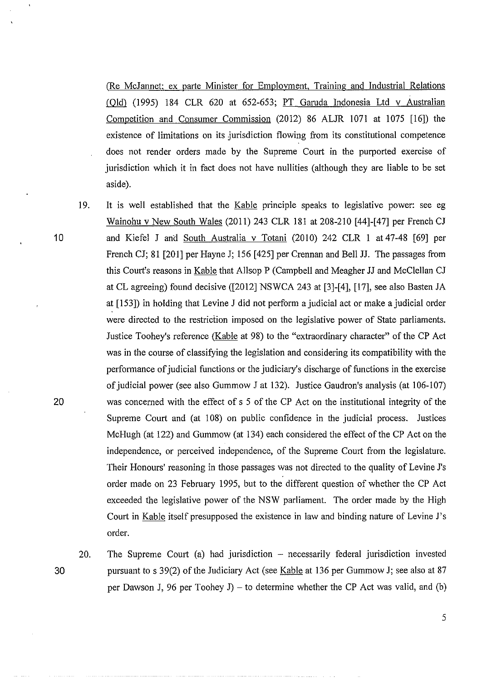(Re McJannet; ex parte Minister for Employment, Training and Industrial Relations  $(Old)$  (1995) 184 CLR 620 at 652-653; PT Garuda Indonesia Ltd v Australian Competition and Consumer Commission (2012) 86 ALJR 1071 at 1075 [16]) the existence of limitations on its jurisdiction flowing from its constitutional competence does not render orders made by the Supreme Court in the purported exercise of jurisdiction which it in fact does not have nullities (although they are liable to be set aside).

10

- 19. It is well established that the Kable principle speaks to legislative power: see eg Wainohu v New South Wales (2011) 243 CLR 181 at 208-210 [44]-[47] per French CJ and Kiefel J and South Australia v Totani (2010) 242 CLR 1 at 47-48 [69] per French CJ; 81 [201] per Hayne J; 156 [425] per Crennan and Bell JJ. The passages from this Court's reasons in Kable that Allsop P (Campbell and Meagher JJ and McClellan CJ at CL agreeing) found decisive ([2012] NSWCA 243 at [3]-[4], [17], see also Basten JA at [153]) in holding that Levine J did not perform a judicial act or make a judicial order were directed to the restriction imposed on the legislative power of State parliaments. Justice Toohey's reference (Kable at 98) to the "extraordinary character" of the CP Act was in the course of classifying the legislation and considering its compatibility with the performance of judicial functions or the judiciary's discharge of functions in the exercise of judicial power (see also Gummow J at 132). Justice Gaudron's analysis (at 106-107) 20 was concerned with the effect of s 5 of the CP Act on the institutional integrity of the Supreme Court and (at 108) on public confidence in the judicial process. Justices McHugh (at 122) and Gummow (at 134) each considered the effect of the CP Act on the independence, or perceived independence, of the Supreme Court from the legislature. Their Honours' reasoning in those passages was not directed to the quality of Levine J's order made on 23 February 1995, but to the different question of whether the CP Act exceeded the legislative power of the NSW parliament. The order made by the High Court in Kable itself presupposed the existence in law and binding nature of Levine J's order.
- 20. 30

The Supreme Court (a) had jurisdiction - necessarily federal jurisdiction invested pursuant to s 39(2) of the Judiciary Act (see Kable at 136 per Gummow J; see also at 87 per Dawson J, 96 per Toohey J) – to determine whether the CP Act was valid, and (b)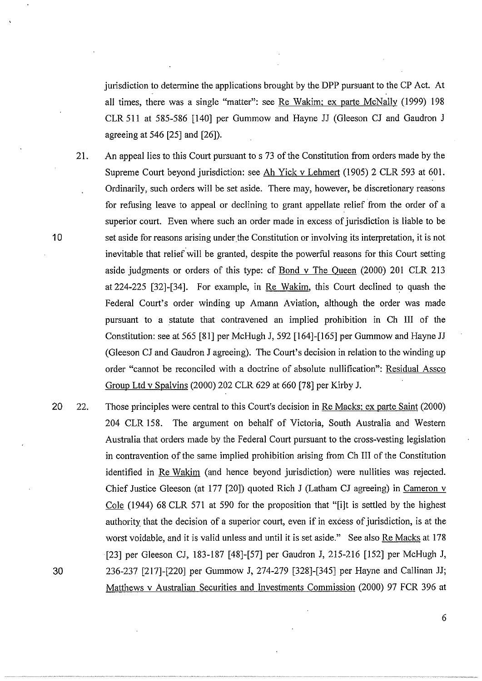jurisdiction to determine the applications brought by the DPP pursuant to the CP Act. At all times, there was a single "matter": see Re Wakim; ex parte McNally (1999) 198 CLR 511 at 585-586 [140] per Gummow and Hayne JJ (Gleeson CJ and Gaudron J agreeing at 546 [25] and [26]).

- 21. An appeal lies to this Court pursuant to s 73 of the Constitution from orders made by the Supreme Court beyond jurisdiction: see Ah Yick v Lehmert (1905) 2 CLR 593 at 601. Ordinarily, such orders will be set aside. There may, however, be discretionary reasons for refusing leave to appeal or declining to grant appellate relief from the order of a superior court. Even where such an order made in excess of jurisdiction is liable to be 10 set aside for reasons arising under the Constitution or involving its interpretation, it is not inevitable that relief will be granted, despite the powerful reasons for this Court setting aside judgments or orders of this type: cf Bond v The Queen (2000) 201 CLR 213 at 224-225 [32]-[34]. For example, in Re Wakim, this Court declined to quash the Federal Court's order winding up Amann Aviation, although the order was made pursuant to a statute that contravened an implied prohibition in Ch III of the Constitution: see at 565 [81] per McHugh J, 592 [164]-[165] per Gummow and Hayne JJ (Gleeson CJ and Gaudron J agreeing). The Court's decision in relation to the winding up order "cannot be reconciled with a doctrine of absolute nullification": Residual Assco Group Ltd v Spalvins (2000) 202 CLR 629 at 660 [78] per Kirby J.
- 20 22. Those principles were central to this Court's decision in Re Macks; ex parte Saint (2000) 204 CLR 158. The argument on behalf of Victoria, South Australia and Western Australia that orders made by the Federal Court pursuant to the cross-vesting legislation in contravention of the same implied prohibition arising from Ch III of the Constitution identified in Re Wakim (and hence beyond jurisdiction) were nullities was rejected. Chief Justice Gleeson (at 177 [20]) quoted Rich J (Latham CJ agreeing) in Cameron v Cole (1944) 68 CLR 571 at 590 for the proposition that "[i]t is settled by the highest authority that the decision of a superior court, even if in excess of jurisdiction, is at the worst voidable, and it is valid unless and until it is set aside." See also Re Macks at 178 [23] per Gleeson CJ, 183-187 [48]-[57] per Gaudron J, 215-216 [152] per McHugh J, 30 236-237 [217]-[220] per Gummow J, 274-279 [328]-[345] per Hayne and Callinan JJ; Matthews v Australian Securities and Investments Commission (2000) 97 FCR 396 at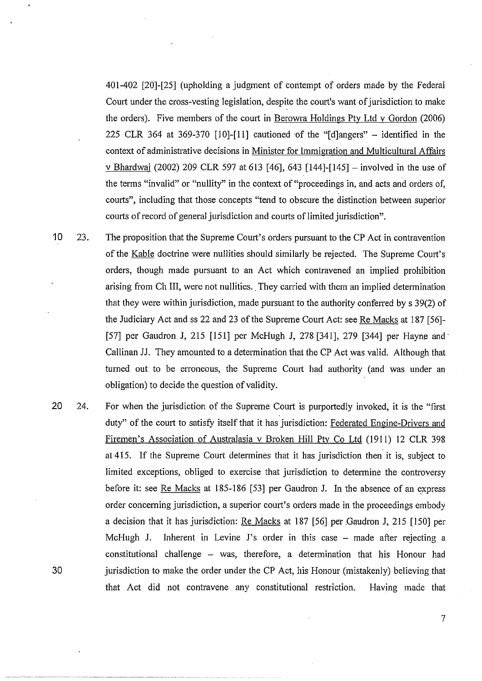401-402 [20]-[25] (upholding a judgment of contempt of orders made by the Federal Court under the cross-vesting legislation, despite the court's want of jurisdiction to make the orders). Five members of the court in Berowra Holdings Pty Ltd v Gordon (2006) 225 CLR 364 at 369-370  $[10]$ - $[11]$  cautioned of the "[d]angers" – identified in the context of administrative decisions in Minister for Immigration and Multicultural Affairs v Bhardwai (2002) 209 CLR 597 at 613 [46], 643 [144]-[145] - involved in the use of the terms "invalid" or "nullity" in the context of "proceedings in, and acts and orders of, courts", including that those concepts "tend to obscure the distinction between superior courts of record of general jurisdiction and courts of limited jurisdiction".

- 10 23. The proposition that the Supreme Court's orders pursuant to the CP Act in contravention of the Kable doctrine were nullities should similarly be rejected. The Supreme Court's orders, though made pursuant to an Act which contravened an implied prohibition arising from Ch III, were not nullities. They carried with them an implied determination that they were within jurisdiction, made pursuant to the authority conferred by s 39(2) of the Judiciary Act and ss 22 and 23 of the Supreme Court Act: see Re Macks at 187 [56]- [ 57] per Gaudron.J, 215 [!51] per McHugh J, 278 [341], 279 [344] per Hayne and· Callinan JJ. They amounted to a determination that the CP Act \_was valid. Although that turned out to be erroneous, the Supreme Court had authority (and was under an obligation) to decide the question of validity.
- 20 24. For when the jurisdiction of the Supreme Court is purportedly invoked, it is the "first duty" of the court to satisfy itself that it has jurisdiction: Federated Engine-Drivers and Firemen's Association of Australasia v Broken Hill Pty Co Ltd (1911) 12 CLR 398 at 415. If the Supreme Court determines that it has jurisdiction then it is, subject to limited exceptions, obliged to exercise that jurisdiction to determine the controversy before it: see Re Macks at 185-186 [53] per Gaudron J. In the absence of an express order concerning jurisdiction, a superior court's orders made in the proceedings embody a decision that it has jurisdiction: Re Macks at 187 [56] per .Gaudron J, 215 [150] per McHugh J. Inherent in Levine J's order in this case -- made after rejecting a constitutional challenge  $-$  was, therefore, a determination that his Honour had jurisdiction to make the order under the CP Act, his Honour (mistakenly) believing that that Act did not contravene any constitutional restriction. Having made that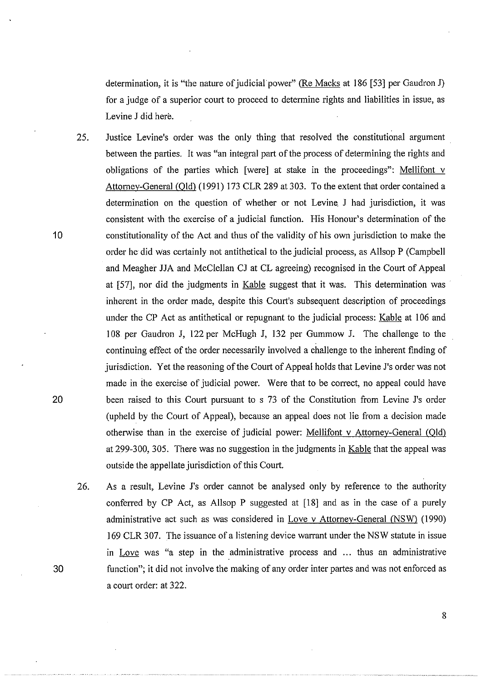determination, it is "the nature of judicial' power" (Re Macks at 186 [53] per Gaudron J) for a judge of a superior court to proceed to determine rights and liabilities in issue, as Levine J did here.

- 25. Justice Levine's order was the only thing that resolved the constitutional argument between the parties. It was "an integral part of the process of determining the rights and obligations of the parties which [were] at stake in the proceedings": Mellifont v Attorney-General (Old) (1991) 173 CLR 289 at 303. To the extent that order contained a determination on the question of whether or not Levine. J had jurisdiction, it was consistent with the exercise of a judicial function. His Honour's determination of the constitutionality of the Act and thus of the validity of his own jurisdiction to make the order he did was certainly not antithetical to the judicial process, as Allsop P (Campbell and Meagher JJA and McClellan CJ at CL agreeing) recognised in the Court of Appeal at [57], nor did the judgments in Kable suggest that it was. This determination was inherent in the order made, despite this Court's subsequent description of proceedings under the CP Act as antithetical or repugnant to the judicial process: Kable at 106 and 108 per Gaudron J, 122 per McHugh J, 132 per Gummow J. The challenge to the continuing effect of the order necessarily involved a challenge to the inherent finding of jurisdiction. Yet the reasoning of the Court of Appeal holds that Levine J's order was not made in the exercise of judicial power. Were that to be correct, no appeal could have been raised to this Court pursuant to s 73 of the Constitution from Levine J's order (upheld by the Court of Appeal), because an appeal does not lie from a decision made otherwise than in the exercise of judicial power: Mellifont v Attomey-General (Qld) at 299-300, 305. There was no suggestion in the judgments in Kable that the appeal was outside the appellate jurisdiction of this Court.
- 26. As a result, Levine J's order cannot be analysed only by reference to the authority conferred by CP Act, as Allsop P suggested at  $[18]$  and as in the case of a purely administrative act such as was considered in Love v Attorney-General  $(NSW)$  (1990) 169 CLR 307. The issuance of a listening device warrant under the NSW statute in issue in Love was "a step in the administrative process and ... thus an administrative function"; it did not involve the making of any order inter partes and was not enforced as a court order: at 322.

10

20

30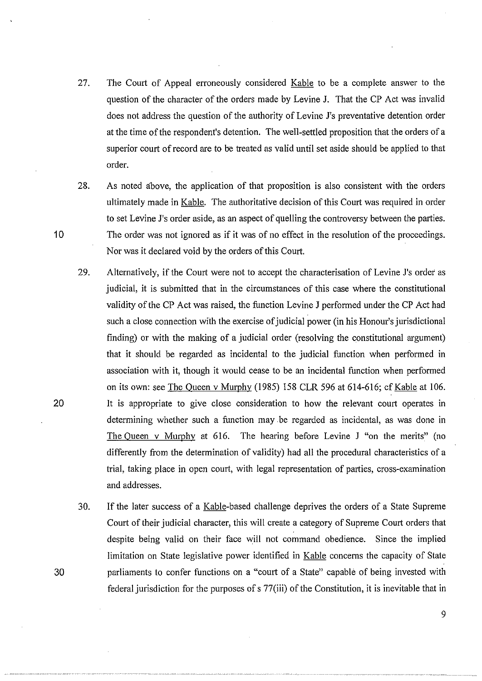27. The Court of Appeal erroneously considered Kable to be a complete answer to the question of the character of the orders made by Levine J. That the CP Act was invalid does not address the question of the authority of Levine J's preventative detention order at the time of the respondent's detention. The well-settled proposition that the orders of a superior court of record are to be treated as valid until set aside should be applied to that order.

10

20

30

28. As noted above, the application of that proposition is also consistent with the orders ultimately made in Kable. The authoritative decision of this Court was required in order to set Levine J's order aside, as an aspect of quelling the controversy between the parties. The order was not ignored as if it was of no effect in the resolution of the proceedings. Nor was it declared void by the orders of this Court.

- 29. Alternatively, if the Court were not to accept the characterisation of Levine J's order as judicial, it is submitted that in the circumstances of this case where the constitutional validity of the CP Act was raised, the function Levine J performed under the CP Act had such a close connection with the exercise of judicial power (in his Honour's jurisdictional finding) or with the making of a judicial order (resolving the constitutional argument) that it should be regarded as incidental to the judicial function when performed in association with it, though it would cease to be an incidental function when performed on its own: see The Queen v Murphy (1985) 158 CLR 596 at 614-616; cf Kable at 106. It is appropriate to give close consideration to how the relevant court operates in determining whether such a function may be regarded as incidental, as was done in The Queen v Murphy at 616. The hearing before Levine J "on the merits" (no differently from the determination of validity) had all the procedural characteristics of a trial, taking place in open court, with legal representation of parties, cross-examination and addresses.
- 30. If the later success of a Kable-based challenge deprives the orders of a State Supreme Court of their judicial character, this will create a category of Supreme Court orders that despite being valid on their face will not command obedience. Since the implied limitation on State legislative power identified in Kable concerns the capacity of State parliaments to confer functions on a "court of a State" capable of being invested with federal jurisdiction for the purposes of s 77(iii) of the Constitution, it is inevitable that in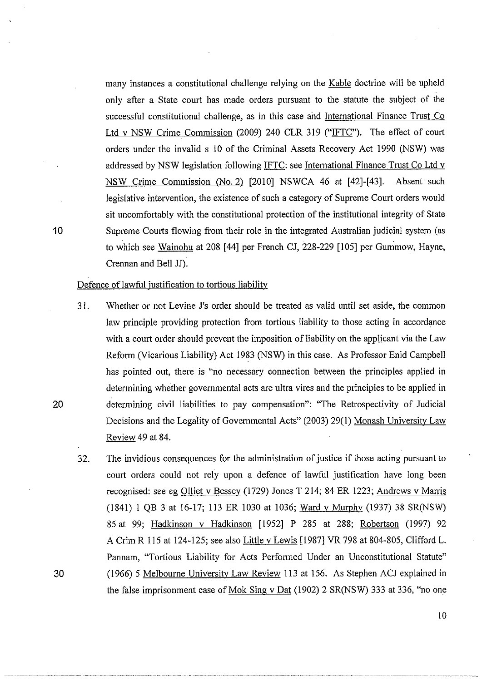many instances a constitutional challenge relying on the Kable doctrine will be upheld only after a State court has made orders pursuant to the statute the subject of the successful constitutional challenge, as in this case and Intemational Finance Trust Co Ltd v NSW Crime Commission (2009) 240 CLR 319 ("IFTC"). The effect of court orders under the invalid s 10 of the Criminal Assets Recovery Act 1990 (NSW) was addressed by NSW legislation following IFTC: see Intemational Finance Trust Co Ltd v NSW Crime Commission (No.2) [2010] NSWCA 46 at [42]-[43]. Absent such legislative intervention, the existence of such a category of Supreme Court orders would sit uncomfortably with the constitutional protection of the institutional integrity of State 10 Supreme Courts flowing from their role in the integrated Australian judicial system (as to which see Wainohu at 208 [44] per French CJ, 228-229 [105] per Gummow, Hayne, Crennan and Bell JJ).

#### Defence of lawful justification to tortious liability

- 31. Whether or not Levine J's order should be treated as valid until set aside, the common law principle providing protection from tortious liability to those acting in accordance with a court order should prevent the imposition of liability on the applicant via the Law Reform (Vicarious Liability) Act 1983 (NSW) in this case. As Professor Enid Campbell has pointed out, there is "no necessary connection between the principles applied in determining whether govemmental acts are ultra vires and the principles to be applied in 20 determining civil liabilities to pay compensation": "The Retrospectivity of Judicial Decisions and the Legality of Govemmental Acts" (2003) 29(1) Monash University Law Review 49 at 84.
- 32. The invidious consequences for the administration of justice if those acting pursuant to court orders could not rely upon a defence of lawful justification have long been recognised: see eg Olliet v Bessey (1729) Jones T 214; 84 ER 1223; Andrews v Marris (1841) I QB 3 at 16-17; 113 ER 1030 at 1036; Ward v Mumhy (1937) 38 SR(NSW) 85 at 99; Hadkinson v Hadkinson [1952] P 285 at 288; Robertson (1997) 92 A Crim R 115 at 124-125; see also Little v Lewis [1987] VR 798 at 804-805, Clifford L. Pannam, "Tortious Liability for Acts Performed Under an Unconstitutional Statute" 30 (1966) 5 Melbourne University Law Review 113 at 156. As Stephen ACJ explained in the false imprisonment case of Mok Sing v Dat (1902) 2 SR(NSW) 333 at 336, "no one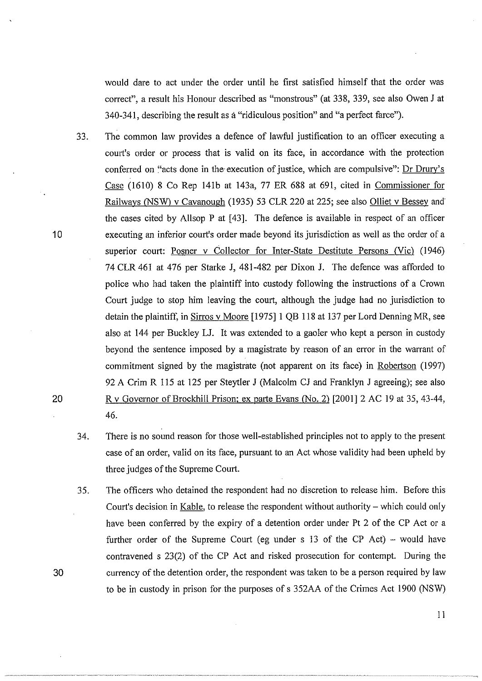would dare to act under the order until he first satisfied himself that the order was correct", a result his Honour described as "monstrous" (at 338, 339, see also Owen J at 340-341, describing the result as a "ridiculous position" and ''a perfect farce").

- 33. The common law provides a defence of lawful justification to an officer executing a court's order or process that is valid on its face, in accordance with the protection conferred on "acts done in the execution of justice, which are compulsive": Dr Drury's Case (1610) 8 Co Rep 14lb at 143a, 77 ER 688 at 691, cited in Commissioner for Railways (NSW) v Cavanough (1935) 53 CLR 220 at 225; see also Olliet v Bessey and the cases cited by Allsop P at [43]. The defence is available in respect of an officer executing an inferior court's order made beyond its jurisdiction as well as the order of a superior court: Posner v Collector for Inter-State Destitute Persons (Vic) (1946) 74 CLR 461 at 476 per Starke J, 481-482 per Dixon J. The defence was afforded to police who had taken the plaintiff into custody following the instructions of a Crown Court judge to stop him leaving the court, although the judge had no jurisdiction to detain the plaintiff, in Sirros v Moore [1975] 1 QB 118 at 137 per Lord Denning MR, see also at 144 per Buckley LJ. It was extended to a gaoler who kept a person in custody beyond the sentence imposed by a magistrate by reason of an error in the warrant of commitment signed by the magistrate (not apparent on its face) in Robertson (1997) 92 A Crim R 115 at 125 per Steytler J (Malcolm CJ and Franklyn J agreeing); see also R v Governor of Brockhill Prison; ex parte Evans (No. 2) [2001] 2 AC 19 at 35, 43-44, 46.
- 34. There is no sound reason for those well-established principles not to apply to the present case of an order, valid on its face, pursuant to an Act whose validity had been upheld by three judges of the Supreme Court.
- 35. The officers who detained the respondent had no discretion to release him. Before this Court's decision in Kable, to release the respondent without authority- which could only have been conferred by the expiry of a detention order under Pt 2 of the CP Act or a further order of the Supreme Court (eg under  $s$  13 of the CP Act) – would have contravened s 23(2) of the CP Act and risked prosecution for contempt. During the currency of the detention order, the respondent was taken to be a person required by law to be in custody in prison for the purposes of s 352AA of the Crimes Act 1900 (NSW)

10

20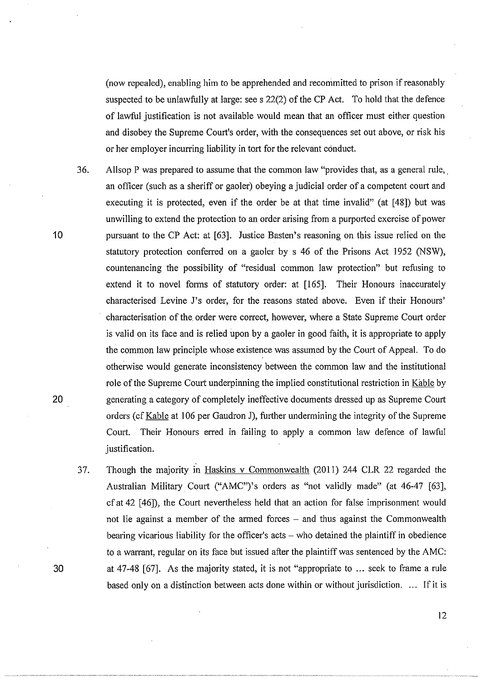(now repealed), enabling him to be apprehended and recommitted to prison if reasonably suspected to be unlawfully at large: see s 22(2) of the CP Act. To hold that the defence of lawful justification is not available would mean that an officer must either question and disobey the Supreme Court's order, with the consequences set out above, or risk his or her employer incurring liability in tort for the relevant conduct.

36. Allsop P was prepared to assume that the common Jaw "provides that, as a general rule,. an officer (such as a sheriff or gaoler) obeying a judicial order of a competent court and executing it is protected, even if the order be at that time invalid" (at [48]) but was unwilling to extend the protection to an order arising from a purported exercise of power pursuant to the CP Act: at [63]. Justice Basten's reasoning on this issue relied on the statutory protection conferred on a gaoler by s 46 of the Prisons Act 1952 (NSW), countenancing the possibility of "residual common Jaw protection" but refusing to extend it to novel forms of statutory order: at [165]. Their Honours inaccurately characterised Levine J's order, for the reasons stated above. Even if their Honours' characterisation of the. order were correct, however, where a State Supreme Court order is valid on its face and is relied upon by a gaoler in good faith, it is appropriate to apply the common Jaw principle whose existence was assumed by the Court of Appeal. To do otherwise would generate inconsistency between the common law and the institutional role of the Supreme Court underpinning the implied constitutional restriction in Kable by generating a category of completely ineffective documents dressed up as Supreme Court orders (cfKable at 106 per Gaudron J), further undermining the integrity of the Supreme Court. Their Honours erred in failing to apply a common Jaw defence of lawful justification.

37. Though the majority in Haskins v Commonwealth (2011) 244 CLR 22 regarded the Australian Military. Court ("AMC")'s orders as "not validly made" (at 46-47 [63], cf at 42 [46]), the Court nevertheless held that an action for false imprisonment would not lie against a member of the armed forces  $-$  and thus against the Commonwealth bearing vicarious liability for the officer's  $acts - who$  detained the plaintiff in obedience to a warrant, regular on its face but issued after the plaintiff was sentenced by the AMC: at 47-48 [67]. As the majority stated, it is not "appropriate to ... seek to frame a rule based only on a distinction between acts done within or without jurisdiction. ... If it is

20

10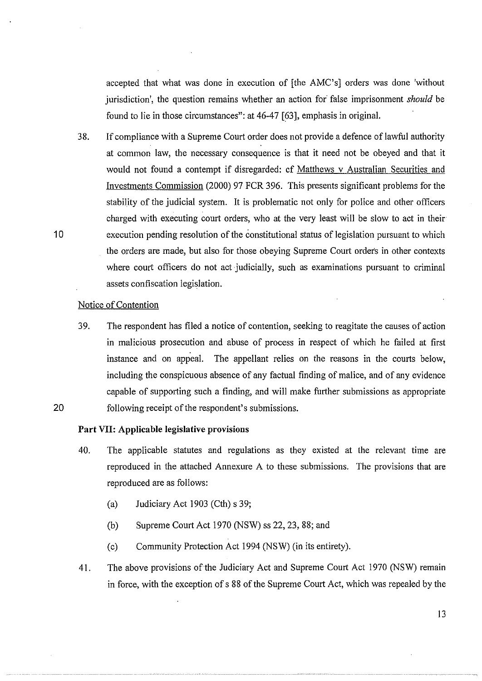accepted that what was done in execution of [the AMC's] orders was done 'without jurisdiction', the question remains whether an action for false imprisonment *should* be found to lie in those circumstances": at 46-47 [63], emphasis in original.

38. If compliance with a Supreme Court order does not provide a defence of lawful authority at common law, the necessary consequence is that it need not be obeyed and that it would not found a contempt if disregarded: cf Matthews v Australian Securities and Investments Commission (2000) 97 FCR 396. This presents significant problems for the stability of the judicial system. It is problematic not only for police and other officers charged with executing court orders, who at the very least will be slow to act in their execution pending resolution of the constitutional status of legislation pursuant to which the orders are made, but also for those obeying Supreme Court orders in other contexts where court officers do not act judicially, such as examinations pursuant to criminal assets confiscation legislation.

#### Notice of Contention

39. The respondent has filed a notice of contention, seeking to reagitate the causes of action in malicious prosecution and abuse of process in respect of which he failed at first instance and on appeal. The appellant relies on the reasons in the courts below, including the conspicuous absence of any factual finding of malice, and of any evidence capable of supporting such a finding, and will make further submissions as appropriate following receipt of the respondent's submissions.

## **Part** VII: **Applicable legislative provisions**

- 40. The applicable statutes and regulations as they existed at the relevant time are reproduced in the attached Annexure A to these submissions. The provisions that are reproduced are as follows:
	- (a) Judiciary Act 1903 (Cth) s 39;
	- (b) Supreme Court Act 1970 (NSW) ss 22, 23, 88; and
	- (c) Community Protection Act 1994 (NSW) (in its entirety).
- 41. The above provisions of the Judiciary Act and Supreme Court Act 1970 (NSW) remain in force, with the exception of s 88 of the Supreme Court Act, which was repealed by the

10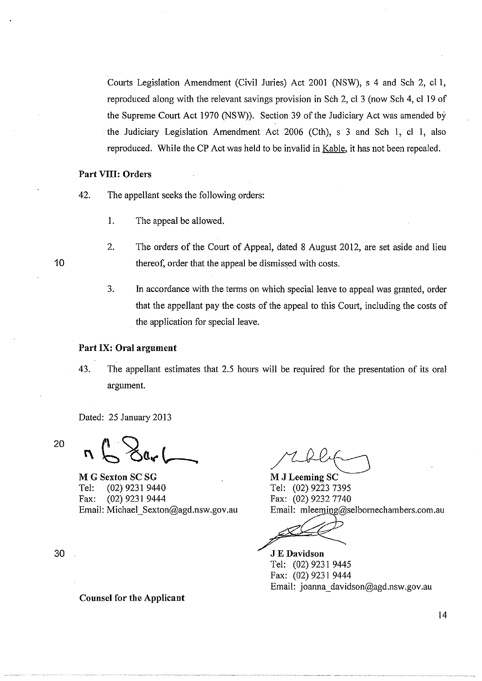Courts Legislation Amendment (Civil Juries) Act 2001 (NSW), s 4 and Sch 2, cl I, reproduced along with the relevant savings provision in Sch 2, cl 3 (now Sch 4, cl 19 of the Supreme Court Act 1970 (NSW)). Section 39 of the Judiciary Act was amended by the Judiciary Legislation Amendment Act 2006 (Cth), s 3 and Sch I, cl I, also reproduced. While the CP Act was held to be invalid in Kable, it has not been repealed.

#### Part VIII: Orders

- 42. The appellant seeks the following orders:
	- I. The appeal be allowed.
	- 2. The orders of the Court of Appeal, dated 8 August 2012, are set aside and lieu thereof, order that the appeal be dismissed with costs.
	- 3. In accordance with the terms on which special leave to appeal was granted, order that the appellant pay the costs of the appeal to this Court, including the costs of . the application for special leave.

#### Part IX: Oral argument

43. The appellant estimates that 2.5 hours will be required for the presentation of its oral argument.

Dated: 25 January 2013

20  $n \sum_{i=1}^{n}$ 

M G Sexton SC SG Tel: (02) 9231 9440 Fax: (02) 9231 9444 Email: Michael\_ Sexton@agd.nsw.gov.au

M J Leeming SC Tel: (02) 9223 7395 Fax: (02) 9232 7740 Email: mleeming@selbomechambers.com.au

JEDavidson Tel: (02) 9231 9445 Fax: (02) 9231 9444 Email: joanna \_davidson@agd.nsw.gov.au

30

Counsel for the Applicant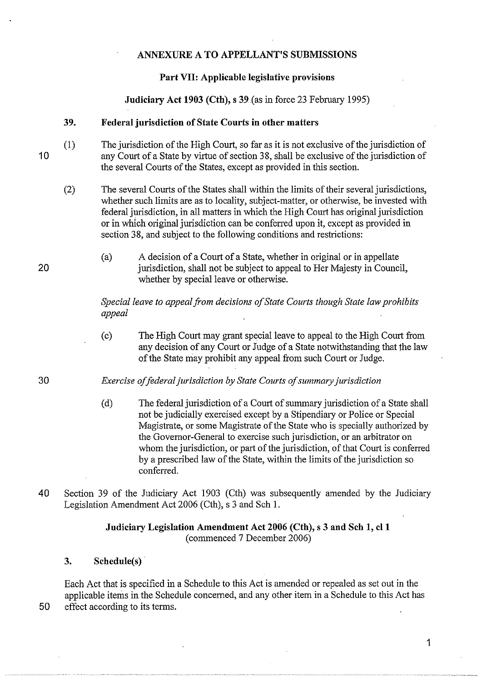## **ANNEXURE A TO APPELLANT'S SUBMISSIONS**

## **Part VII: Applicable legislative provisions**

**Judiciary Act 1903 (Cth),** s 39 (as in force 23 February 1995)

## **39. Federal jurisdiction of State Courts in other matters**

- (1) The jurisdiction of the High Court, so far as it is not exclusive of the jurisdiction of any Court of a State by virtue of section 38, shall be exclusive of the jurisdiction of the several Courts of the States, except as provided in this section.
	- (2) The several Courts of the States shall within the limits of their several jurisdictions, whether such limits are as to locality, subject-matter, or otherwise, be invested with federal jurisdiction, in all matters in which the High Court has original jurisdiction or in which original jurisdiction can be confened upon it, except as provided in section 38, and subject to the following conditions and restrictions:
		- (a) A decision of a Court of a State, whether in original or in appellate jurisdiction, shall not be subject to appeal to Her Majesty in Council, whether by special leave or otherwise.

*Special leave to appeal from decisions of State Courts though State law prohibits appeal* 

(c) The High Court may grant special leave to appeal to the High Court from any decision of any Court or Judge of a State notwithstanding that the law of the State may prohibit any appeal from such Court or Judge.

*Exercise of federal jurisdiction by State Courts of summary jurisdiction* 

- (d) The federal jurisdiction of a Court of summary jurisdiction of a State shall not be judicially exercised except by a Stipendiary or Police or Special Magistrate, or some Magistrate of the State who is specially authorized by the Governor-General to exercise such jurisdiction, or an arbitrator on whom the jurisdiction, or part of the jurisdiction, of that Court is conferred by a prescribed law of the State, within the limits of the jurisdiction so conferred.
- 40 Section 39 of the Judiciary Act 1903 (Cth) was subsequently amended by the Judiciary Legislation Amendment Act 2006 (Cth), s 3 and Sch 1.

# **Judiciary Legislation Amendment Act 2006 (Cth),** s 3 **and Sch 1, ell**  (commenced 7 December 2006)

# **3. Schedule(s)** ·

Each Act that is specified in a Schedule to this Act is amended or repealed as set out in the applicable items in the Schedule concerned, and any other item in a Schedule to this Act has 50 effect according to its terms.

10

20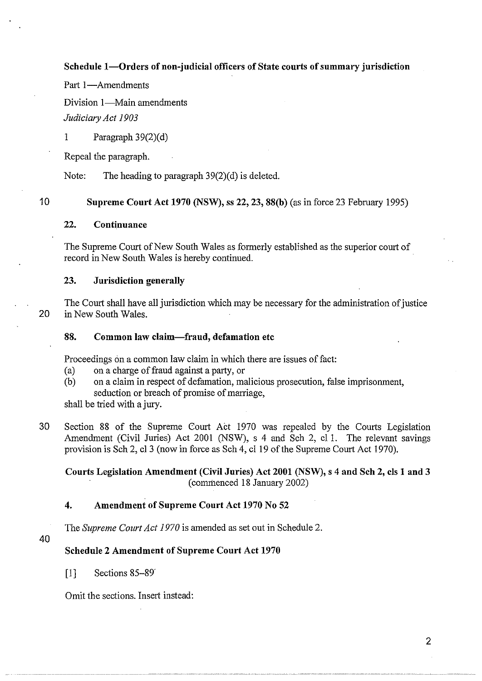**Schedule 1-0rders of non-judicial officers of State courts of summary jurisdiction** 

Part 1-Amendments

Division 1-Main amendments

*Judiciary Act 1903* 

1 Paragraph  $39(2)(d)$ 

Repeal the paragraph.

Note: The heading to paragraph  $39(2)(d)$  is deleted.

10 **Supreme Court Act 1970 (NSW), ss 22, 23, 88(b)** (as in force 23 Febmary 1995)

## **22. Continuance**

The Supreme Court of New South Wales as formerly established as the superior court of record in New South Wales is hereby continued.

#### **23. Jurisdiction generally**

The Court shall have all jurisdiction which may be necessary for the administration of justice 20 in New South Wales.

## **88. Common law claim-fraud, defamation etc**

Proceedings on a common law claim in which there are issues of fact:

- (a) on a charge of fraud against a party, or
- (b) on a claim in respect of defamation, malicious prosecution, false imprisonment, seduction or breach of promise of marriage,

shall be tried with a jury.

30 Section 88 of the Supreme Court Act 1970 was repealed by the Courts Legislation Amendment (Civil Juries) Act 2001 (NSW), s 4 and Sch 2, el 1. The relevant savings provision is Sch 2, cl 3 (now in force as Sch 4, cl 19 of the Supreme Court Act 1970).

## **Courts Legislation Amendment (Civil Juries) Act 2001 (NSW), s 4 and Sch 2, cis 1 and 3**  (commenced 18 January 2002)

## **4. Amendment of Supreme Court Act 1970 No 52**

The *Supreme Court Act 1970* is amended as set out in Schedule 2.

40

## **Schedule 2 Amendment of Supreme Court Act 1970**

[1] Sections 85-89'

Omit the sections. Insert instead: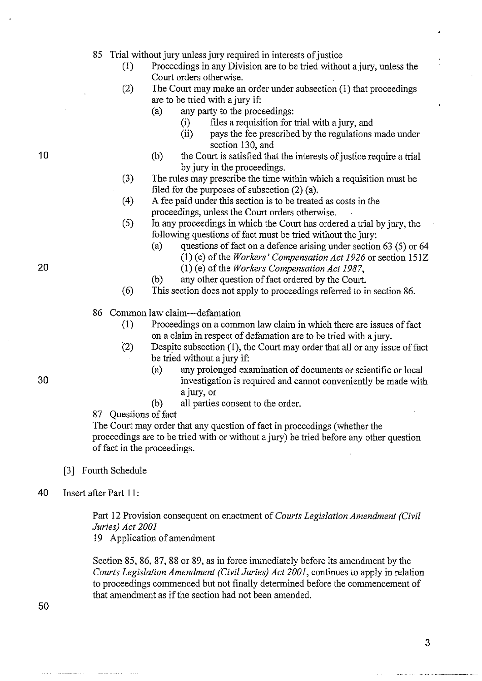85 Trial without jury unless jury required in interests of justice

- (1) Proceedings in any Division are to be tried without a jury, unless the Court orders otherwise.
- (2) The Court may make an order under subsection (1) that proceedings are to be tried with a jury if:
	- (a) any party to the proceedings:
		- (i) files a requisition for trial with a jury, and<br>(ii) pays the fee prescribed by the regulations
		- pays the fee prescribed by the regulations made under section 130, and
	- (b) the Court is satisfied that the interests of justice require a trial by jury in the proceedings.
- (3) The rules may prescribe the time within which a requisition must be filed for the purposes of subsection (2) (a).
- ( 4) A fee paid under this section is to be treated as costs in the proceedings, unless the Court orders otherwise.
- (5) In any proceedings in which the Court has ordered a.trial by jury, the following questions of fact must be tried without the jury:
	- (a) questions of fact on a defence arising under section  $63$  (5) or  $64$ (1) (c) of the *Workers' Compensation Act 1926* or section 151Z (1) (e) of the *Workers Compensation Act 1987*,
	- (b) any other question of fact ordered by the Court.
- ( 6) This section does not apply to proceedings referred to in section 86.
- 86 Common law claim-defamation
	- (1) Proceedings on a common law claim in which there are issues of fact on a claim in respect of defamation are to be tried with a jury.
	- $(2)$  Despite subsection (1), the Court may order that all or any issue of fact be tried without a jury if:
		- (a) any prolonged examination of documents or scientific or local investigation is required and cannot conveniently be made with a jury, or
		- (b) all parties consent to the order.
- 87 Questions of fact

The Court may order that any question of fact in proceedings (whether the proceedings are to be tried with or without a jury) be tried before any other question of fact in the proceedings.

- [3] Fourth Schedule
- 40 Insert after Part 11:

Part 12 Provision consequent on enactment of *Courts Legislation Amendment (Civil Juries) Act 2001* 

19 Application of amendment

Section 85, 86, 87, 88 or 89, as in force immediately before its amendment by the *Courts Legislation Amendment (Civil Juries) Act 2001,* continues to apply in relation to proceedings commenced but not finally determined before the commencement of that amendment as if the section had not been amended.

10

20

50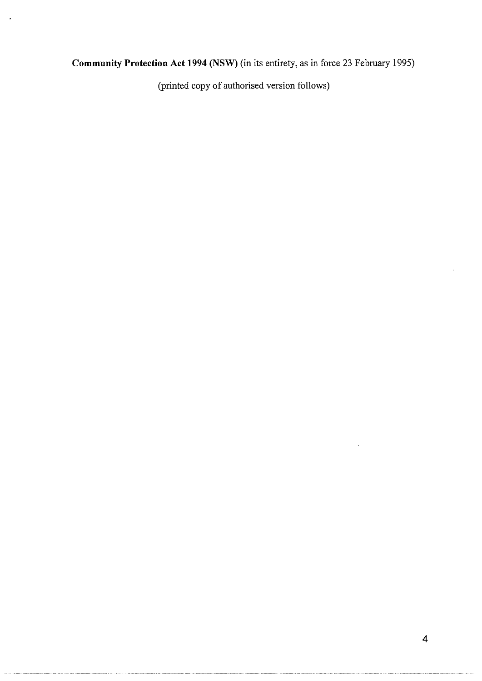# **Community Protection Act 1994 (NSW)** (in its entirety, as in force 23 February 1995)

(printed copy of authorised version follows)

 $\ddot{\phantom{a}}$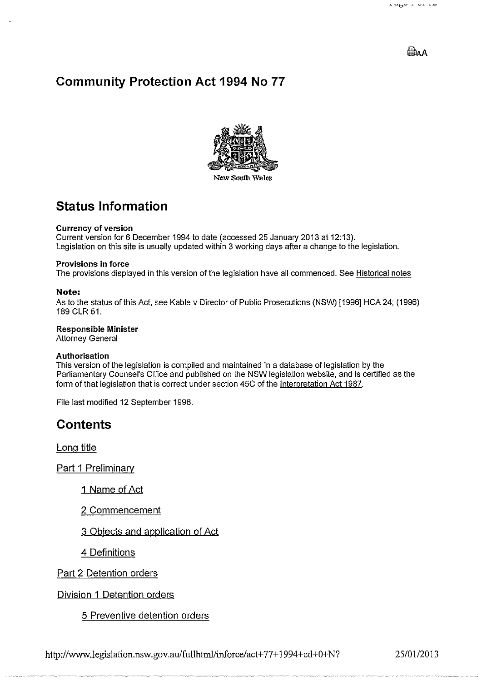# **Paa**

# **Community Protection Act 1994 No 77**



# **Status Information**

#### Currency of version

Current version for 6 December 1994 to date (accessed 25 January 2013 at 12:13). Legislation on this site is usually updated within 3 working days after a change to the legislation.

#### Provisions in force

The provisions displayed in this version of the legislation have all commenced. See Historical notes

#### **Note:**

As to the status of this Act, see Kable v Director of Public Prosecutions (NSW) [1996] HCA 24; (1996) 189 CLR 51.

#### Responsible Minister

Attorney General

#### Authorisation

This version of the legislation is compiled and maintained in a database of legislation by the Parliamentary Counsel's Office and published on the NSW legislation website, and is certified as the form of that legislation that is correct under section 45C of the Interpretation Act 1987.

File last modified 12 September 1996.

# **Contents**

Long title

Part 1 Preliminary

1 Name of Act

2 Commencement

3 Objects and application of Act

4 Definitions

Part 2 Detention orders

Division 1 Detention orders

5 Preventive detention orders

http://www.legislation.nsw.gov.au/fullhtml/inforce/act+77+1994+cd+0+N? 25/01/2013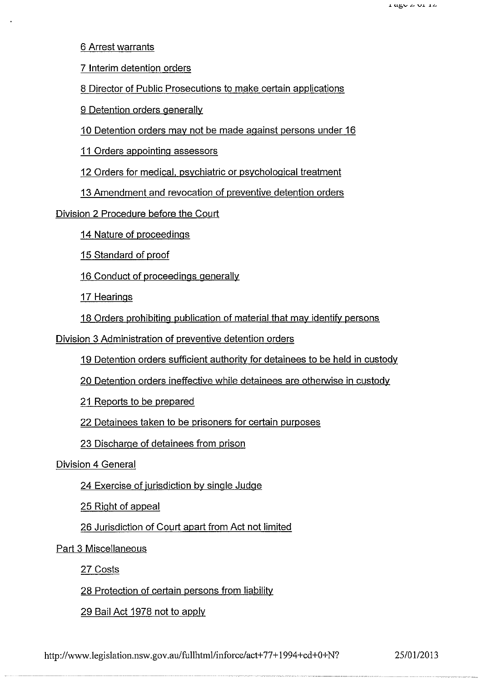6 Arrest warrants

7 Interim detention orders

8 Director of Public Prosecutions to make certain applications

9 Detention orders generally

10 Detention orders may not be made against persons under 16

11 Orders appointing assessors

12 Orders for medical, psychiatric or psychological treatment

13 Amendment and revocation of preventive detention orders

Division 2 Procedure before the Court

14 Nature of proceedings

15 Standard of proof

16 Conduct of proceedings generally

17 Hearings

18 Orders prohibiting publication of material that may identify persons

Division 3 Administration of preventive detention orders

19 Detention orders sufficient authority for detainees to be held in custody

20 Detention orders ineffective while detainees are otherwise in custody

21 Reports to be prepared

22 Detainees taken to be prisoners for certain purposes

23 Discharge of detainees from prison

Division 4 General

24 Exercise of jurisdiction by single Judge

25 Right of appeal

26 Jurisdiction of Court apart from Act not limited

Part 3 Miscellaneous

27 Costs

28 Protection of certain persons from liability

29 Bail Act 1978 not to apply

http://www.legislation.nsw.gov.au/fullhtml/inforce/act+77+1994+cd+0+N? 25/01/2013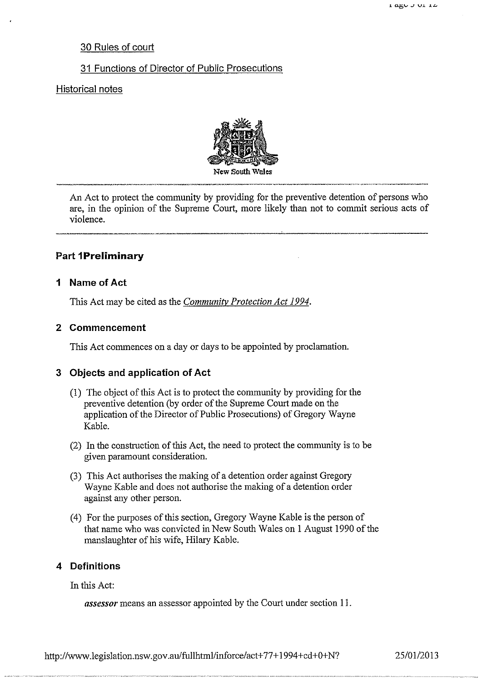## 30 Rules of court

## 31 Functions of Director of Public Prosecutions

## Historical notes



An Act to protect the community by providing for the preventive detention of persons who are, in the opinion of the Supreme Court, more likely than not to commit serious acts of violence.

## **Part 1 Preliminary**

## **1 Name of Act**

This Act may be cited as the *Community Protection Act 1994.* 

#### **2 Commencement**

This Act commences on a day or days to be appointed by proclamation.

## **3 Objects and application of Act**

- (I) The object of this Act is to protect the community by providing for the preventive detention (by order of the Supreme Court made on the application of the Director of Public Prosecutions) of Gregory Wayne Kable.
- (2) In the construction of this Act, the need to protect the community is to be given paramount consideration.
- (3) This Act authorises the making of a detention order against Gregory Wayne Kable and does not authorise the making of a detention order against any other person.
- (4) For the purposes of this section, Gregory Wayne Kable is the person of that name who was convicted in New South Wales on I August 1990 of the manslaughter of his wife, Hilary Kable.

#### **4 Definitions**

In this Act:

*assessor* means an assessor appointed by the Court under section 11.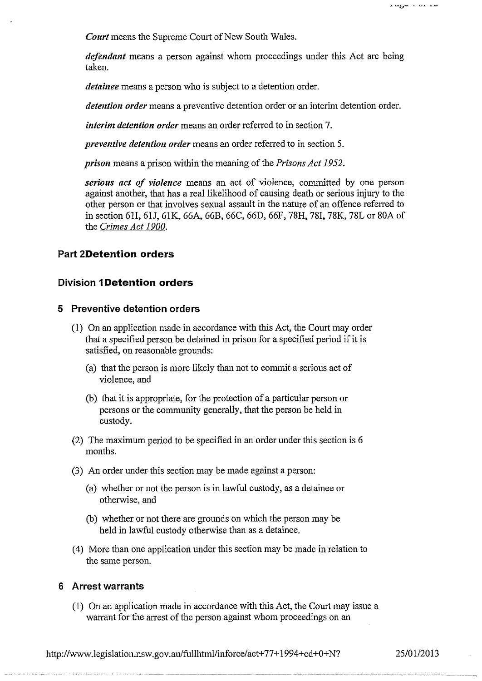*Court* means the Supreme Court of New South Wales.

*defendant* means a person against whom proceedings under this Act are being taken.

*detainee* means a person who is subject to a detention order.

*detention order* means a preventive detention order or an interim detention order.

*interim detention order* means an order referred to in section 7.

*preventive detention order* means an order referred to in section 5.

*prison* means a prison within the meaning of the *Prisons Act 1952.* 

*serious act of violence* means an act of violence, committed by one person against another, that has a real likelihood of causing death or serious injury to the other person or that involves sexual assault in the nature of an offence referred to in section 61I, 61J, 61K, 66A, 66B, 66C, 66D, 66F, 78H, 781, 78K, 78L or 80A of the *Crimes Act 1900.* 

#### **Part 2Detention orders**

## **Division 1 Detention orders**

#### **5 Preventive detention orders**

- (1) On an application made in accordance with this Act, the Court may order that a specified person be detained in prison for a specified period if it is satisfied, on reasonable grounds:
	- (a) that the person is more likely than not to commit a serious act of violence, and
	- (b) that it is appropriate, for the protection of a particular person or persons or the community generally, that the person be held in custody.
- (2) The maximum period to be specified in an order under this section is 6 months.
- (3) An order under this section may be made against a person:
	- (a) whether or not the person is in lawful custody, as a detainee or otherwise, and
	- (b) whether or not there are grounds on which the person may be held in lawful custody otherwise than as a detainee.
- ( 4) More than one application under this section may be made in relation to the same person.

#### **6 Arrest warrants**

(1) On an application made in accordance with this Act, the Court may issue a warrant for the arrest of the person against whom proceedings on an

http://www.legislation.nsw.gov.au/fullhtml/inforce/act+77+1994+cd+0+N? 25/01/2013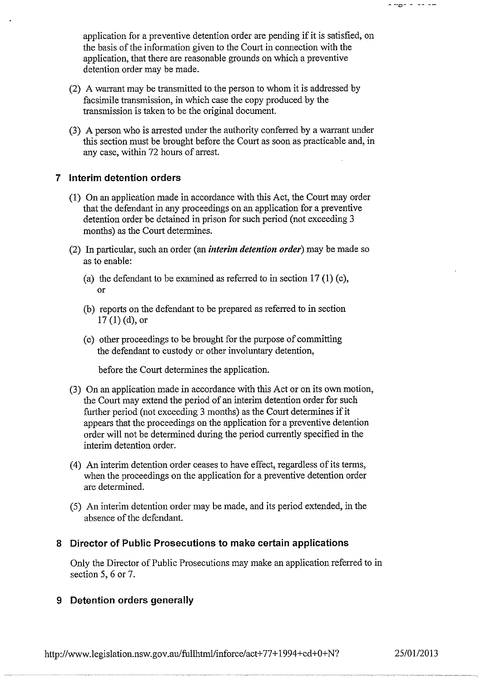application for a preventive detention order are pending if it is satisfied, on the basis of the information given to the Court in connection with the application, that there are reasonable grounds on which a preventive detention order may be made.

- (2) A wanant may be transmitted to the person to whom it is addressed by facsimile transmission, in which case the copy produced by the transmission is taken to be the original document.
- $(3)$  A person who is arrested under the authority conferred by a warrant under this section must be brought before the Court as soon as practicable and, in any case, within 72 hours of arrest.

## **7 Interim detention orders**

- (1) On an application made in accordance with this Act, the Court may order that the defendant in any proceedings on an application for a preventive detention order be detained in prison for such period (not exceeding 3 months) as the Court determines.
- (2) In particular, such an order (an *interim detention order)* may be made so as to enable:
	- (a) the defendant to be examined as referred to in section  $17(1)$  (c), or
	- (b) reports on the defendant to be prepared as refened to in section  $17(1)(d)$ , or
	- (c) other proceedings to be brought for the purpose of committing the defendant to custody or other involuntary detention,

before the Court determines the application.

- (3) On an application made in accordance with this Act or on its own motion, the Court may extend the period of an interim detention order for such further period (not exceeding 3 months) as the Court determines if it appears that the proceedings on the application for a preventive detention order will not be determined during the period cunently specified in the interim detention order.
- ( 4) An interim detention order ceases to have effect, regardless of its terms, when the proceedings on the application for a preventive detention order are determined.
- ( 5) An interim detention order may be made, and its period extended, in the absence of the defendant.

## **8 Director of Public Prosecutions to make certain applications**

Only the Director of Public Prosecutions may make an application refened to in section 5, 6 or 7.

## **9 Detention orders generally**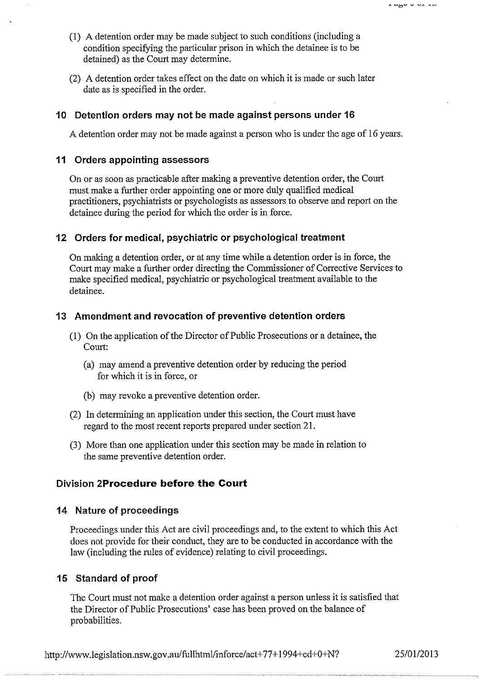- (1) A detention order may be made subject to such conditions (including a condition specifying the particular prison in which the detainee is to be detained) as the Court may determine.
- (2) A detention order takes effect on the date on which it is made or such later date as is specified in the order.

## **10 Detention orders may not be made against persons under 16**

A detention order may not be made against a person who is under the age of 16 years.

## **11 Orders appointing assessors**

On or as soon as practicable after making a preventive detention order, the Court must make a further order appointing one or more duly qualified medical practitioners, psychiatrists or psychologists as assessors to observe and report on the detainee during the period for which the order is in force.

# **12 Orders for medical, psychiatric or psychological treatment**

On making a detention order, or at any time while a detention order is in force, the Court may make a further order directing the Commissioner of Corrective Services to make specified medical, psychiatric or psychological treatment available to the detainee.

## **13 Amendment and revocation of preventive detention orders**

- (1) On the application of the Director of Public Prosecutions or a detainee, the Court:
	- (a) may amend a preventive detention order by reducing the period for which it is in force, or
	- (b) may revoke a preventive detention order.
- (2) In determining an application under this section, the Court must have regard to the most recent reports prepared under section 21.
- (3) More than one application under this section may be made in relation to the same preventive detention order.

# **Division 2Procedure before the Court**

# **14 Nature of proceedings**

Proceedings under this Act are civil proceedings and, to the extent to which this Act does not provide for their conduct, they are to be conducted in accordance with the law (including the rules of evidence) relating to civil proceedings.

# **15 Standard of proof**

The Court must not make a detention order against a person unless it is satisfied that the Director of Public Prosecutions' case has been proved on the balance of probabilities.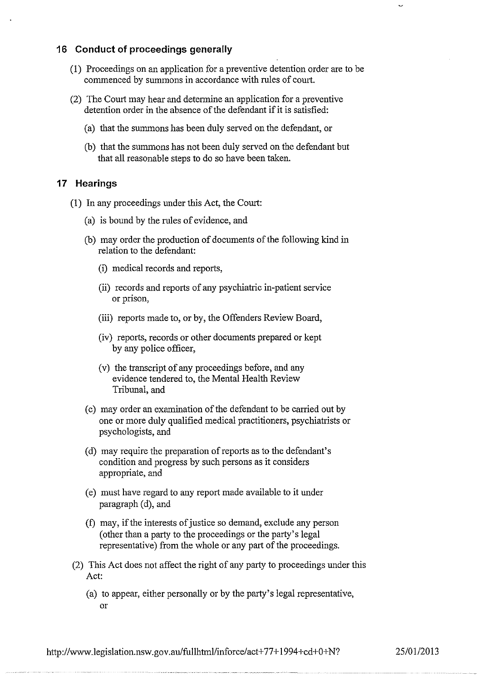## **16 Conduct of proceedings generally**

- (1) Proceedings on an application for a preventive detention order are to be commenced by summons in accordance with rules of court.
- (2) The Court may hear and determine an application for a preventive detention order in the absence of the defendant if it is satisfied:
	- (a) that the summons has been duly served on the defendant, or
	- (b) that the summons has not been duly served on the defendant but that all reasonable steps to do so have been taken.

## **17 Hearings**

- (1) In any proceedings under this Act, the Court:
	- (a) is bound by the rules of evidence, and
	- (b) may order the production of documents of the following kind in relation to the defendant:
		- (i) medical records and reports,
		- (ii) records and reports of any psychiatric in-patient service or prison,
		- (iii) reports made to, or by, the Offenders Review Board,
		- (iv) reports, records or other documents prepared or kept by any police officer,
		- (v) the transcript of any proceedings before, and any evidence tendered to, the Mental Health Review Tribunal, and
	- (c) may order an examination of the defendant to be carried out by one or more duly qualified medical practitioners, psychiatrists or psychologists, and
	- (d) may require the preparation of reports as to the defendant's condition and progress by such persons as it considers appropriate, and
	- (e) must have regard to any report made available to it under paragraph (d), and
	- (f) may, ifthe interests of justice so demand, exclude any person (other than a party to the proceedings or the party's legal representative) from the whole or any part of the proceedings.
- (2) This Act does not affect the right of any party to proceedings under this Act:
	- (a) to appear, either personally or by the party's legal representative, or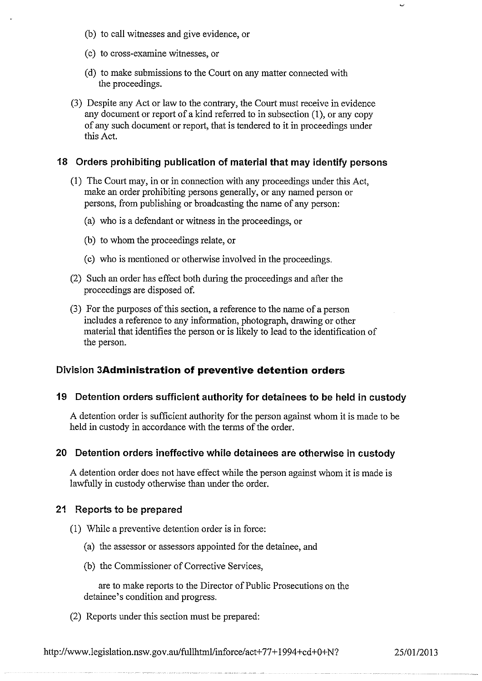- (b) to call witnesses and give evidence, or
- (c) to cross-examine witnesses, or
- (d) to make submissions to the Court on any matter connected with the proceedings.
- (3) Despite any Act or law to the contrary, the Court must receive in evidence any document or report of a kind referred to in subsection (1), or any copy of any such document or report, that is tendered to it in proceedings under this Act.

#### **18 Orders prohibiting publication of material that may identify persons**

- (1) The Court may, in or in connection with any proceedings under this Act, make an order prohibiting persons generally, or any named person or persons, from publishing or broadcasting the name of any person:
	- (a) who is a defendant or witness in the proceedings, or
	- (b) to whom the proceedings relate, or
	- (c) who is mentioned or otherwise involved in the proceedings.
- (2) Such an order has effect both during the proceedings and after the proceedings are disposed of.
- (3) For the purposes of this section, a reference to the name of a person includes a reference to any information, photograph, drawing or other material that identifies the person or is likely to lead to the identification of the person.

#### **Division 3Administration of preventive detention orders**

## **19 Detention orders sufficient authority for detainees to be held in custody**

A detention order is sufficient authority for the person against whom it is made to be held in custody in accordance with the terms of the order.

#### **20 Detention orders ineffective while detainees are otherwise in custody**

A detention order does not have effect while the person against whom it is made is lawfully in custody otherwise than under the order.

#### **21 Reports to be prepared**

- (1) While a preventive detention order is in force:
	- (a) the assessor or assessors appointed for the detainee, and
	- (b) the Commissioner of Corrective Services,

are to make reports to the Director of Public Prosecutions on the detainee's condition and progress.

(2) Reports under this section must be prepared:

http://www.legislation.nsw.gov.au/fullhtml/inforce/act+77+1994+cd+0+N? 25/01/2013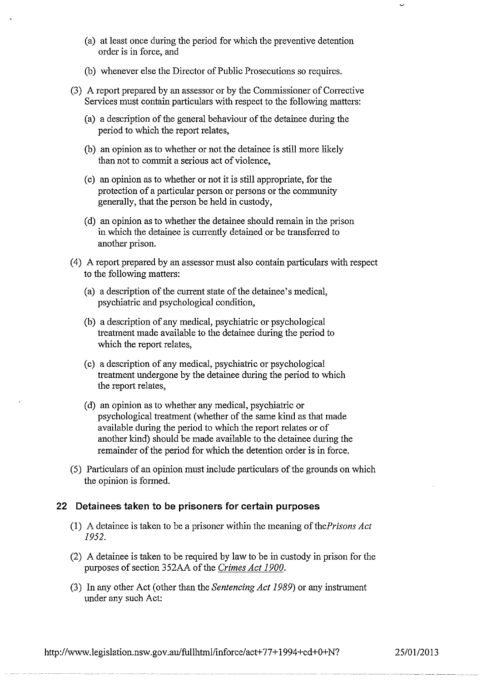- (a) at least once during the period for which the preventive detention order is in force, and
- (b) whenever else the Director of Public Prosecutions so requires.
- (3) A report prepared by an assessor or by the Commissioner of Corrective Services must contain particulars with respect to the following matters:
	- (a) a description of the general behaviour of the detainee during the period to which the report relates,
	- (b) an opinion as to whether or not the detainee is still more likely than not to commit a serious act of violence,
	- (c) an opinion as to whether or not it is still appropriate, for the protection of a particular person or persons or the community generally, that the person be held in custody,
	- (d) an opinion as to whether the detainee should remain in the prison in which the detainee is currently detained or be transferred to another prison.
- ( 4) A report prepared by an assessor must also contain particulars with respect to the following matters:
	- (a) a description of the current state of the detainee's medical, psychiatric and psychological condition,
	- (b) a description of any medical, psychiatric or psychological treatment made available to the detainee during the period to which the report relates,
	- (c) a description of any medical, psychiatric or psychological treatment undergone by the detainee during the period to which the report relates,
	- (d) an opinion as to whether any medical, psychiatric or psychological treatment (whether of the same kind as that made available during the period to which the report relates or of another kind) should be made available to the detainee during the remainder of the period for which the detention order is in force.
- (5) Particulars of an opinion must include particulars of the grounds on which the opinion is formed.

#### **22 Detainees taken to be prisoners for certain purposes**

- ( 1) A detainee is taken to be a prisoner within the meaning of *thePrisons Act 1952.*
- (2) A detainee is taken to be required by law to be in custody in prison for the purposes of section 352AA of the *Crimes Act 1900.*
- (3) In any other Act (other than the *Sentencing Act 1989)* or any instrument under any such Act:

http://www.legislation.nsw.gov.au/fullhtml/inforce/act+77+1994+cd+0+N? 25/01/2013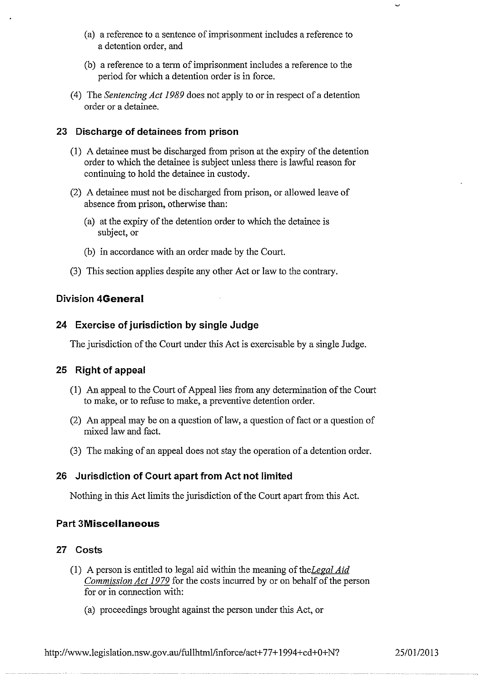- (a) a reference to a sentence of imprisonment includes a reference to a detention order, and
- (b) a reference to a term of imprisonment includes a reference to the period for which a detention order is in force.
- ( 4) The *Sentencing Act 1989* does not apply to or in respect of a detention order or a detainee.

# **23 Discharge of detainees from prison**

- (1) A detainee must be discharged from prison at the expiry of the detention order to which the detainee is subject unless there is lawful reason for continuing to hold the detainee in custody.
- (2) A detainee must not be discharged from prison, or allowed leave of absence from prison, otherwise than:
	- (a) at the expiry of the detention order to which the detainee is subject, or
	- (b) in accordance with an order made by the Court.
- (3) This section applies despite any other Act or law to the contrary.

# **Division 4General**

## **24 Exercise of jurisdiction by single Judge**

The jurisdiction of the Court under this Act is exercisable by a single Judge.

# **25 Right of appeal**

- (1) An appeal to the Court of Appeal lies from any determination of the Court to make, or to refuse to make, a preventive detention order.
- (2) An appeal may be on a question of law, a question of fact or a question of mixed law and fact.
- (3) The making of an appeal does not stay the operation of a detention order.

# **26 Jurisdiction of Court apart from Act not limited**

Nothing in this Act limits the jurisdiction of the Court apart from this Act.

# **Part 3Miscellaneous**

## **27 Costs**

- (1) A person is entitled to legal aid within the meaning of the Legal Aid *Commission Act 1979* for the costs incurred by or on behalf of the person for or in connection with:
	- (a) proceedings brought against the person under this Act, or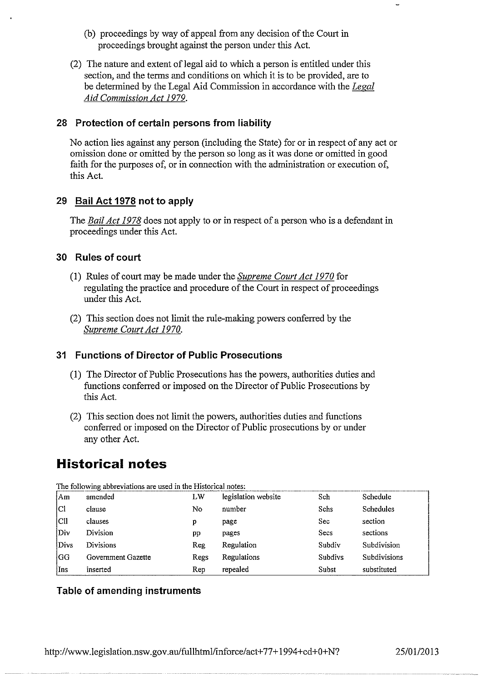- (b) proceedings by way of appeal from any decision of the Court in proceedings brought against the person under this Act.
- (2) The nature and extent of legal aid to which a person is entitled under this section, and the terms and conditions on which it is to be provided, are to be determined by the Legal Aid Commission in accordance with the *Legal Aid Commission Act 1979.*

## **28 Protection of certain persons from liability**

No action lies against any person (including the State) for or in respect of any act or omission done or omitted by the person so long as it was done or omitted in good faith for the purposes of, or in connection with the administration or execution of, this Act.

# **29 Bail Act 1978 not to apply**

The *Bail Act 1978* does not apply to or in respect of a person who is a defendant in proceedings under this Act.

## **30 Rules of court**

- (I) Rules of court may be made under the *Supreme Court Act 1970* for regulating the practice and procedure of the Court in respect of proceedings under this Act.
- (2) This section does not limit the rule-making powers conferred by the *Supreme Court Act 1970.*

## **31 Functions of Director of Public Prosecutions**

- (1) The Director of Public Prosecutions has the powers, authorities duties and functions conferred or imposed on the Director of Public Prosecutions by this Act.
- (2) This section does not limit the powers, authorities duties and functions conferred or imposed on the Director of Public prosecutions by or under any other Act.

# **Historical notes**

| The following abbreviations are used in the Historical notes: |                    |            |                     |                |                  |  |  |  |
|---------------------------------------------------------------|--------------------|------------|---------------------|----------------|------------------|--|--|--|
| Am                                                            | amended            | LW         | legislation website | Sch            | Schedule         |  |  |  |
| Cl                                                            | clause             | No         | number              | Schs           | <b>Schedules</b> |  |  |  |
| ClI                                                           | clauses            | р          | page                | Sec            | section          |  |  |  |
| Div                                                           | Division           | pp         | pages               | Secs           | sections         |  |  |  |
| Divs                                                          | <b>Divisions</b>   | <b>Reg</b> | Regulation          | Subdiv         | Subdivision      |  |  |  |
| igg.                                                          | Government Gazette | Regs       | Regulations         | <b>Subdivs</b> | Subdivisions     |  |  |  |
| Ins                                                           | inserted           | Rep        | repealed            | Subst          | substituted      |  |  |  |

**The following abbreviations are used in the Historical notes:** 

# **Table of amending instruments**